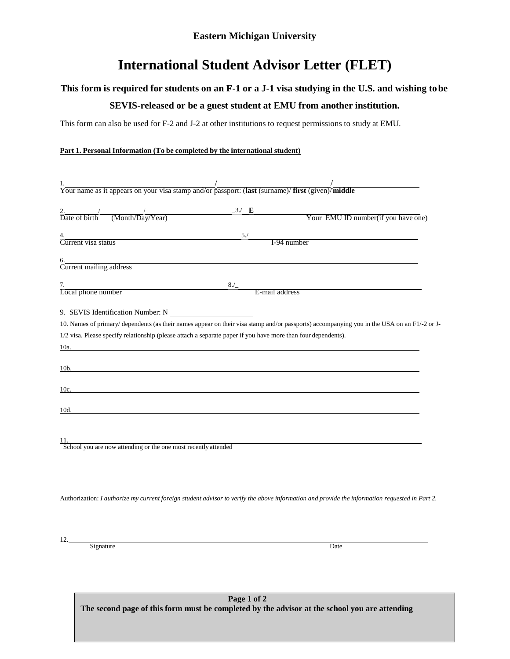## **International Student Advisor Letter (FLET)**

## **This form is required for students on an F-1 or a J-1 visa studying in the U.S. and wishing tobe**

## **SEVIS-released or be a guest student at EMU from another institution.**

This form can also be used for F-2 and J-2 at other institutions to request permissions to study at EMU.

## **Part 1. Personal Information (To be completed by the international student)**

| $\frac{1}{1}$<br>Your name as it appears on your visa stamp and/or passport: (last (surname)/first (given)/middle                                                                                                             |                                                                                                                                             |
|-------------------------------------------------------------------------------------------------------------------------------------------------------------------------------------------------------------------------------|---------------------------------------------------------------------------------------------------------------------------------------------|
|                                                                                                                                                                                                                               |                                                                                                                                             |
|                                                                                                                                                                                                                               | Your EMU ID number(if you have one)                                                                                                         |
|                                                                                                                                                                                                                               |                                                                                                                                             |
| 4. 5. Solution 5. Solution 3. Solution 3. Solution 3. Solution 3. Solution 3. Solution 3. Solution 3. Solution 3. Solution 3. Solution 3. Solution 3. Solution 3. Solution 3. Solution 3. Solution 3. Solution 3. Solution 3. | I-94 number                                                                                                                                 |
|                                                                                                                                                                                                                               |                                                                                                                                             |
| 6. Current mailing address                                                                                                                                                                                                    |                                                                                                                                             |
|                                                                                                                                                                                                                               |                                                                                                                                             |
| 7. Local phone number                                                                                                                                                                                                         |                                                                                                                                             |
|                                                                                                                                                                                                                               |                                                                                                                                             |
| 9. SEVIS Identification Number: N                                                                                                                                                                                             |                                                                                                                                             |
|                                                                                                                                                                                                                               | 10. Names of primary/ dependents (as their names appear on their visa stamp and/or passports) accompanying you in the USA on an F1/-2 or J- |
| 1/2 visa. Please specify relationship (please attach a separate paper if you have more than four dependents).                                                                                                                 |                                                                                                                                             |
| 10a.                                                                                                                                                                                                                          |                                                                                                                                             |
|                                                                                                                                                                                                                               |                                                                                                                                             |
| $\frac{10b}{100}$                                                                                                                                                                                                             |                                                                                                                                             |
|                                                                                                                                                                                                                               |                                                                                                                                             |
| 10c.                                                                                                                                                                                                                          | <u> 1989 - Johann Stoff, deutscher Stoffen und der Stoffen und der Stoffen und der Stoffen und der Stoffen und der</u>                      |
|                                                                                                                                                                                                                               |                                                                                                                                             |
| 10d.                                                                                                                                                                                                                          |                                                                                                                                             |
|                                                                                                                                                                                                                               |                                                                                                                                             |
|                                                                                                                                                                                                                               |                                                                                                                                             |
| 11.<br>School you are now attending or the one most recently attended                                                                                                                                                         |                                                                                                                                             |
|                                                                                                                                                                                                                               |                                                                                                                                             |
|                                                                                                                                                                                                                               |                                                                                                                                             |
|                                                                                                                                                                                                                               |                                                                                                                                             |

Authorization: I authorize my current foreign student advisor to verify the above information and provide the information requested in Part 2.

12.

Signature Date Date of the Date of the Date of the Date of the Date of the Date of the Date of the Date of the Date of the Date of the Date of the Date of the Date of the Date of the Date of the Date of the Date of the Dat

**Page 1 of 2 The second page of this form must be completed by the advisor at the school you are attending**